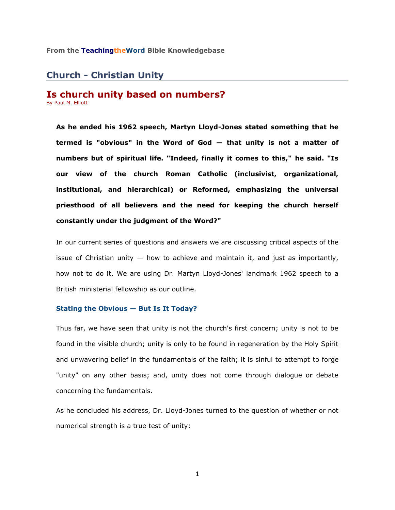### **From the TeachingtheWord Bible Knowledgebase**

# **Church - Christian Unity**

## **Is church unity based on numbers?** By Paul M. Elliott

**As he ended his 1962 speech, Martyn Lloyd-Jones stated something that he termed is "obvious" in the Word of God — that unity is not a matter of numbers but of spiritual life. "Indeed, finally it comes to this," he said. "Is our view of the church Roman Catholic (inclusivist, organizational, institutional, and hierarchical) or Reformed, emphasizing the universal priesthood of all believers and the need for keeping the church herself constantly under the judgment of the Word?"** 

In our current series of questions and answers we are discussing critical aspects of the issue of Christian unity  $-$  how to achieve and maintain it, and just as importantly, how not to do it. We are using Dr. Martyn Lloyd-Jones' landmark 1962 speech to a British ministerial fellowship as our outline.

## **Stating the Obvious — But Is It Today?**

Thus far, we have seen that unity is not the church's first concern; unity is not to be found in the visible church; unity is only to be found in regeneration by the Holy Spirit and unwavering belief in the fundamentals of the faith; it is sinful to attempt to forge "unity" on any other basis; and, unity does not come through dialogue or debate concerning the fundamentals.

As he concluded his address, Dr. Lloyd-Jones turned to the question of whether or not numerical strength is a true test of unity: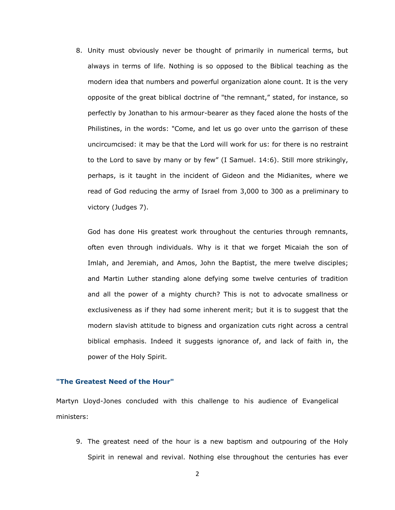8. Unity must obviously never be thought of primarily in numerical terms, but always in terms of life. Nothing is so opposed to the Biblical teaching as the modern idea that numbers and powerful organization alone count. It is the very opposite of the great biblical doctrine of "the remnant," stated, for instance, so perfectly by Jonathan to his armour-bearer as they faced alone the hosts of the Philistines, in the words: "Come, and let us go over unto the garrison of these uncircumcised: it may be that the Lord will work for us: for there is no restraint to the Lord to save by many or by few" (I Samuel. 14:6). Still more strikingly, perhaps, is it taught in the incident of Gideon and the Midianites, where we read of God reducing the army of Israel from 3,000 to 300 as a preliminary to victory (Judges 7).

God has done His greatest work throughout the centuries through remnants, often even through individuals. Why is it that we forget Micaiah the son of Imlah, and Jeremiah, and Amos, John the Baptist, the mere twelve disciples; and Martin Luther standing alone defying some twelve centuries of tradition and all the power of a mighty church? This is not to advocate smallness or exclusiveness as if they had some inherent merit; but it is to suggest that the modern slavish attitude to bigness and organization cuts right across a central biblical emphasis. Indeed it suggests ignorance of, and lack of faith in, the power of the Holy Spirit.

## **"The Greatest Need of the Hour"**

Martyn Lloyd-Jones concluded with this challenge to his audience of Evangelical ministers:

9. The greatest need of the hour is a new baptism and outpouring of the Holy Spirit in renewal and revival. Nothing else throughout the centuries has ever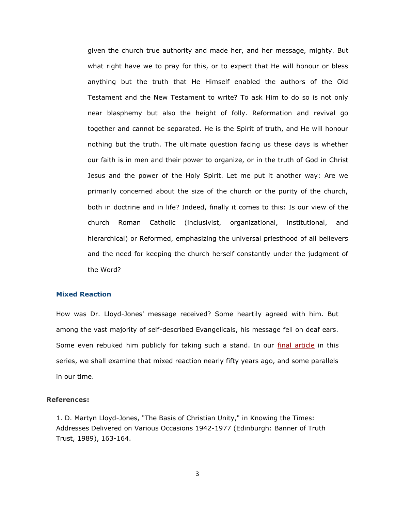given the church true authority and made her, and her message, mighty. But what right have we to pray for this, or to expect that He will honour or bless anything but the truth that He Himself enabled the authors of the Old Testament and the New Testament to write? To ask Him to do so is not only near blasphemy but also the height of folly. Reformation and revival go together and cannot be separated. He is the Spirit of truth, and He will honour nothing but the truth. The ultimate question facing us these days is whether our faith is in men and their power to organize, or in the truth of God in Christ Jesus and the power of the Holy Spirit. Let me put it another way: Are we primarily concerned about the size of the church or the purity of the church, both in doctrine and in life? Indeed, finally it comes to this: Is our view of the church Roman Catholic (inclusivist, organizational, institutional, and hierarchical) or Reformed, emphasizing the universal priesthood of all believers and the need for keeping the church herself constantly under the judgment of the Word?

### **Mixed Reaction**

How was Dr. Lloyd-Jones' message received? Some heartily agreed with him. But among the vast majority of self-described Evangelicals, his message fell on deaf ears. Some even rebuked him publicly for taking such a stand. In our *final article* in this series, we shall examine that mixed reaction nearly fifty years ago, and some parallels in our time.

### **References:**

1. D. Martyn Lloyd-Jones, "The Basis of Christian Unity," in Knowing the Times: Addresses Delivered on Various Occasions 1942-1977 (Edinburgh: Banner of Truth Trust, 1989), 163-164.

3